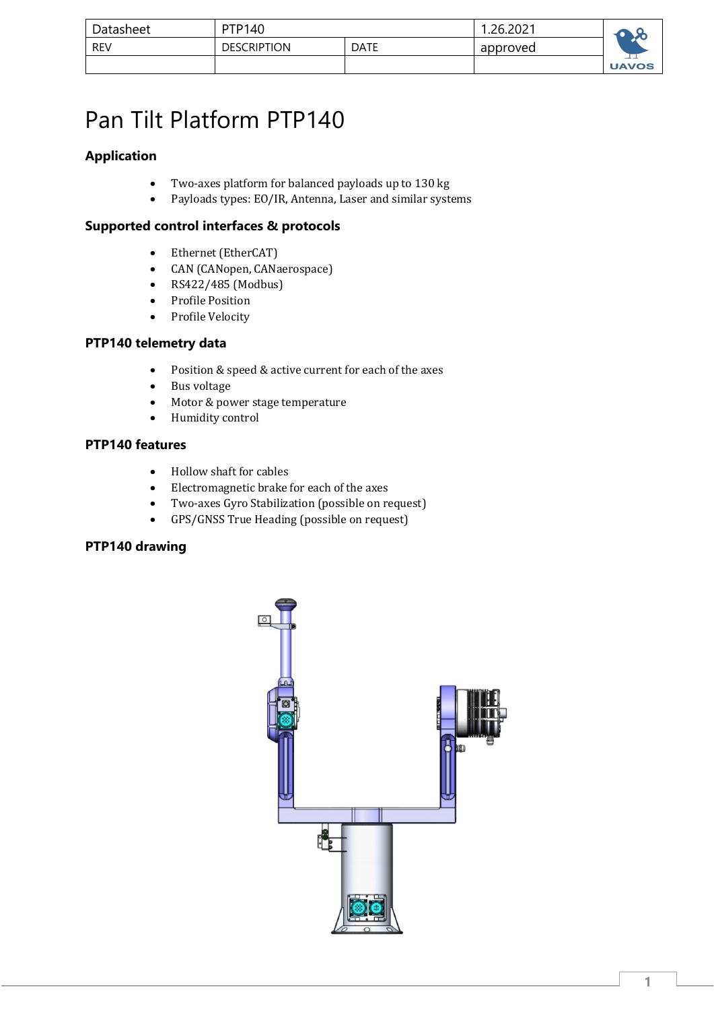| Datasheet  | <b>PTP140</b>      |             | .26.2021 |              |
|------------|--------------------|-------------|----------|--------------|
| <b>REV</b> | <b>DESCRIPTION</b> | <b>DATE</b> | approved |              |
|            |                    |             |          | <b>UAVOS</b> |

# Pan Tilt Platform PTP140

# **Application**

- Two-axes platform for balanced payloads up to 130 kg
- Payloads types: EO/IR, Antenna, Laser and similar systems

## **Supported control interfaces & protocols**

- Ethernet (EtherCAT)
- CAN (CANopen, CANaerospace)
- $RS422/485$  (Modbus)
- Profile Position
- Profile Velocity

## **PTP140 telemetry data**

- Position & speed & active current for each of the axes
- Bus voltage
- Motor & power stage temperature
- Humidity control

## **PTP140 features**

- Hollow shaft for cables
- Electromagnetic brake for each of the axes
- Two-axes Gyro Stabilization (possible on request)
- GPS/GNSS True Heading (possible on request)

## **PTP140 drawing**